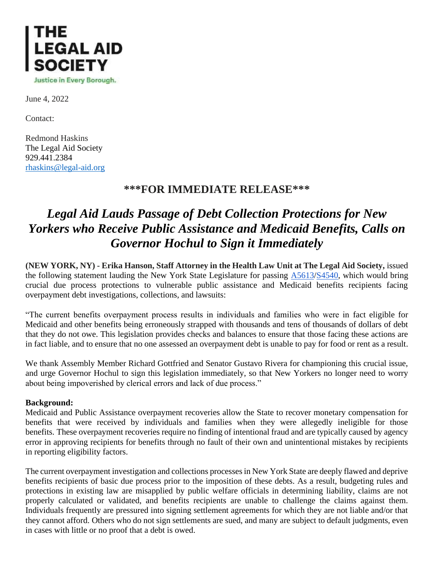

June 4, 2022

Contact:

Redmond Haskins The Legal Aid Society 929.441.2384 [rhaskins@legal-aid.org](mailto:rhaskins@legal-aid.org)

## **\*\*\*FOR IMMEDIATE RELEASE\*\*\***

## *Legal Aid Lauds Passage of Debt Collection Protections for New Yorkers who Receive Public Assistance and Medicaid Benefits, Calls on Governor Hochul to Sign it Immediately*

**(NEW YORK, NY) - Erika Hanson, Staff Attorney in the Health Law Unit at The Legal Aid Society,** issued the following statement lauding the New York State Legislature for passing [A5613](https://www.nysenate.gov/legislation/bills/2021/A5613)[/S4540,](https://www.nysenate.gov/legislation/bills/2021/s4540/amendment/a) which would bring crucial due process protections to vulnerable public assistance and Medicaid benefits recipients facing overpayment debt investigations, collections, and lawsuits:

"The current benefits overpayment process results in individuals and families who were in fact eligible for Medicaid and other benefits being erroneously strapped with thousands and tens of thousands of dollars of debt that they do not owe. This legislation provides checks and balances to ensure that those facing these actions are in fact liable, and to ensure that no one assessed an overpayment debt is unable to pay for food or rent as a result.

We thank Assembly Member Richard Gottfried and Senator Gustavo Rivera for championing this crucial issue, and urge Governor Hochul to sign this legislation immediately, so that New Yorkers no longer need to worry about being impoverished by clerical errors and lack of due process."

## **Background:**

Medicaid and Public Assistance overpayment recoveries allow the State to recover monetary compensation for benefits that were received by individuals and families when they were allegedly ineligible for those benefits. These overpayment recoveries require no finding of intentional fraud and are typically caused by agency error in approving recipients for benefits through no fault of their own and unintentional mistakes by recipients in reporting eligibility factors.

The current overpayment investigation and collections processes in New York State are deeply flawed and deprive benefits recipients of basic due process prior to the imposition of these debts. As a result, budgeting rules and protections in existing law are misapplied by public welfare officials in determining liability, claims are not properly calculated or validated, and benefits recipients are unable to challenge the claims against them. Individuals frequently are pressured into signing settlement agreements for which they are not liable and/or that they cannot afford. Others who do not sign settlements are sued, and many are subject to default judgments, even in cases with little or no proof that a debt is owed.